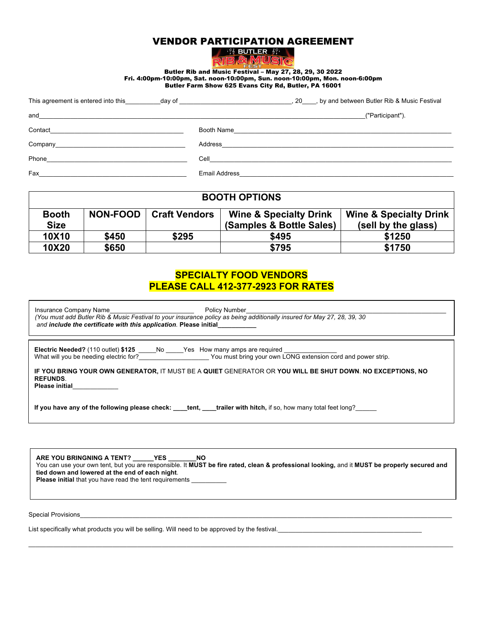## VENDOR PARTICIPATION AGREEMENT

| 30<br>willia<br>. . |  |
|---------------------|--|
|                     |  |
|                     |  |

Butler Rib and Music Festival – May 27, 28, 29, 30 2022 Fri. 4:00pm-10:00pm, Sat. noon-10:00pm, Sun. noon-10:00pm, Mon. noon-6:00pm Butler Farm Show 625 Evans City Rd, Butler, PA 16001

| This agreement is entered into this day of day of             |         | , 20 , by and between Butler Rib & Music Festival                                                                                                                                                                                    |
|---------------------------------------------------------------|---------|--------------------------------------------------------------------------------------------------------------------------------------------------------------------------------------------------------------------------------------|
| and<br><u> 1989 - Johann Amerikaanse konstantinoplering (</u> |         | ("Participant").                                                                                                                                                                                                                     |
| Contact                                                       |         | Booth Name <b>Example 2018</b> and 2018 and 2019 and 2019 and 2019 and 2019 and 2019 and 2019 and 2019 and 2019 and 2019                                                                                                             |
|                                                               | Address |                                                                                                                                                                                                                                      |
| Phone                                                         |         | <b>Cell</b> Contract the contract of the contract of the contract of the contract of the contract of the contract of the contract of the contract of the contract of the contract of the contract of the contract of the contract o  |
| Fax                                                           |         | Email Address <b>Contract Contract Contract Contract Contract Contract Contract Contract Contract Contract Contract Contract Contract Contract Contract Contract Contract Contract Contract Contract Contract Contract Contract </b> |

| <b>BOOTH OPTIONS</b> |                 |                      |                                   |                                   |  |
|----------------------|-----------------|----------------------|-----------------------------------|-----------------------------------|--|
| <b>Booth</b>         | <b>NON-FOOD</b> | <b>Craft Vendors</b> | <b>Wine &amp; Specialty Drink</b> | <b>Wine &amp; Specialty Drink</b> |  |
| <b>Size</b>          |                 |                      | (Samples & Bottle Sales)          | (sell by the glass)               |  |
| 10X10                | \$450           | \$295                | \$495                             | \$1250                            |  |
| 10X20                | \$650           |                      | \$795                             | \$1750                            |  |

# **SPECIALTY FOOD VENDORS PLEASE CALL 412-377-2923 FOR RATES**

| Insurance Company Name<br><b>Policy Number</b><br>(You must add Butler Rib & Music Festival to your insurance policy as being additionally insured for May 27, 28, 39, 30<br>and include the certificate with this application. Please initial |  |  |  |
|------------------------------------------------------------------------------------------------------------------------------------------------------------------------------------------------------------------------------------------------|--|--|--|
| <b>Electric Needed?</b> (110 outlet) \$125 No Yes How many amps are required<br>What will you be needing electric for? The South County You must bring your own LONG extension cord and power strip.                                           |  |  |  |
| IF YOU BRING YOUR OWN GENERATOR, IT MUST BE A QUIET GENERATOR OR YOU WILL BE SHUT DOWN. NO EXCEPTIONS, NO<br><b>REFUNDS.</b><br><b>Please initial</b>                                                                                          |  |  |  |
| If you have any of the following please check: tent, trailer with hitch, if so, how many total feet long?                                                                                                                                      |  |  |  |
|                                                                                                                                                                                                                                                |  |  |  |

**ARE YOU BRINGNING A TENT? \_\_\_\_\_\_YES \_\_\_\_\_\_\_\_NO** You can use your own tent, but you are responsible. It **MUST be fire rated, clean & professional looking,** and it **MUST be properly secured and tied down and lowered at the end of each night**. Please initial that you have read the tent requirements

\_\_\_\_\_\_\_\_\_\_\_\_\_\_\_\_\_\_\_\_\_\_\_\_\_\_\_\_\_\_\_\_\_\_\_\_\_\_\_\_\_\_\_\_\_\_\_\_\_\_\_\_\_\_\_\_\_\_\_\_\_\_\_\_\_\_\_\_\_\_\_\_\_\_\_\_\_\_\_\_\_\_\_\_\_\_\_\_\_\_\_\_\_\_\_\_\_\_\_\_\_\_\_\_\_\_\_\_\_\_\_\_\_\_\_\_\_\_\_\_\_

Special Provisions

List specifically what products you will be selling. Will need to be approved by the festival.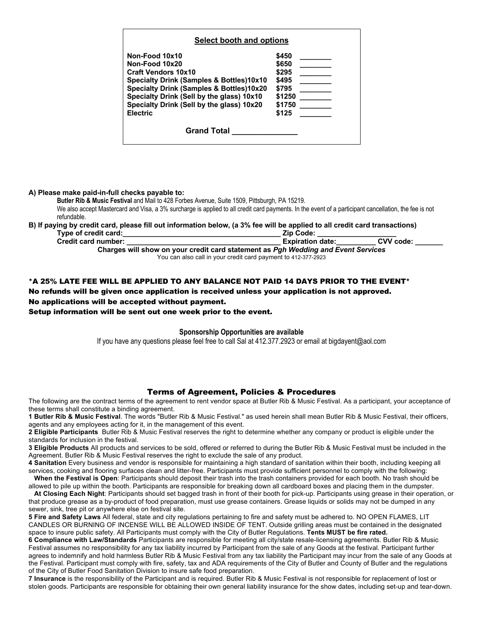| Select booth and options                  |        |
|-------------------------------------------|--------|
| Non-Food 10x10                            | \$450  |
| Non-Food 10x20                            | \$650  |
| <b>Craft Vendors 10x10</b>                | \$295  |
| Specialty Drink (Samples & Bottles)10x10  | \$495  |
| Specialty Drink (Samples & Bottles)10x20  | \$795  |
| Specialty Drink (Sell by the glass) 10x10 | \$1250 |
| Specialty Drink (Sell by the glass) 10x20 | \$1750 |
| <b>Electric</b>                           | \$125  |
| <b>Grand Total</b>                        |        |

**A) Please make paid-in-full checks payable to:**

**Butler Rib & Music Festival** and Mail to 428 Forbes Avenue, Suite 1509, Pittsburgh, PA 15219. We also accept Mastercard and Visa, a 3% surcharge is applied to all credit card payments. In the event of a participant cancellation, the fee is not refundable.

# **B) If paying by credit card, please fill out information below, (a 3% fee will be applied to all credit card transactions)**

| Type of credit card:                                                              | <b>Zip Code:</b>        |           |  |  |
|-----------------------------------------------------------------------------------|-------------------------|-----------|--|--|
| <b>Credit card number:</b>                                                        | <b>Expiration date:</b> | CVV code: |  |  |
| Charges will show on your credit card statement as Pgh Wedding and Event Services |                         |           |  |  |
| You can also call in vour crodit card novment to 412.277.2022                     |                         |           |  |  |

u can also call in your credit card payment to 412-377-2923

### \*A 25% LATE FEE WILL BE APPLIED TO ANY BALANCE NOT PAID 14 DAYS PRIOR TO THE EVENT\*

No refunds will be given once application is received unless your application is not approved. No applications will be accepted without payment.

Setup information will be sent out one week prior to the event.

#### **Sponsorship Opportunities are available**

If you have any questions please feel free to call Sal at 412.377.2923 or email at bigdayent@aol.com

## Terms of Agreement, Policies & Procedures

The following are the contract terms of the agreement to rent vendor space at Butler Rib & Music Festival. As a participant, your acceptance of these terms shall constitute a binding agreement.

**1 Butler Rib & Music Festival**. The words "Butler Rib & Music Festival." as used herein shall mean Butler Rib & Music Festival, their officers, agents and any employees acting for it, in the management of this event.

**2 Eligible Participants** Butler Rib & Music Festival reserves the right to determine whether any company or product is eligible under the standards for inclusion in the festival.

**3 Eligible Products** All products and services to be sold, offered or referred to during the Butler Rib & Music Festival must be included in the Agreement. Butler Rib & Music Festival reserves the right to exclude the sale of any product.

**4 Sanitation** Every business and vendor is responsible for maintaining a high standard of sanitation within their booth, including keeping all services, cooking and flooring surfaces clean and litter-free. Participants must provide sufficient personnel to comply with the following:

 **When the Festival is Open**: Participants should deposit their trash into the trash containers provided for each booth. No trash should be allowed to pile up within the booth. Participants are responsible for breaking down all cardboard boxes and placing them in the dumpster.

 **At Closing Each Night**: Participants should set bagged trash in front of their booth for pick-up. Participants using grease in their operation, or that produce grease as a by-product of food preparation, must use grease containers. Grease liquids or solids may not be dumped in any sewer, sink, tree pit or anywhere else on festival site.

**5 Fire and Safety Laws** All federal, state and city regulations pertaining to fire and safety must be adhered to. NO OPEN FLAMES, LIT CANDLES OR BURNING OF INCENSE WILL BE ALLOWED INSIDE OF TENT. Outside grilling areas must be contained in the designated space to insure public safety. All Participants must comply with the City of Butler Regulations. **Tents MUST be fire rated.**

**6 Compliance with Law/Standards** Participants are responsible for meeting all city/state resale-licensing agreements. Butler Rib & Music Festival assumes no responsibility for any tax liability incurred by Participant from the sale of any Goods at the festival. Participant further agrees to indemnify and hold harmless Butler Rib & Music Festival from any tax liability the Participant may incur from the sale of any Goods at the Festival. Participant must comply with fire, safety, tax and ADA requirements of the City of Butler and County of Butler and the regulations of the City of Butler Food Sanitation Division to insure safe food preparation.

**7 Insurance** is the responsibility of the Participant and is required. Butler Rib & Music Festival is not responsible for replacement of lost or stolen goods. Participants are responsible for obtaining their own general liability insurance for the show dates, including set-up and tear-down.